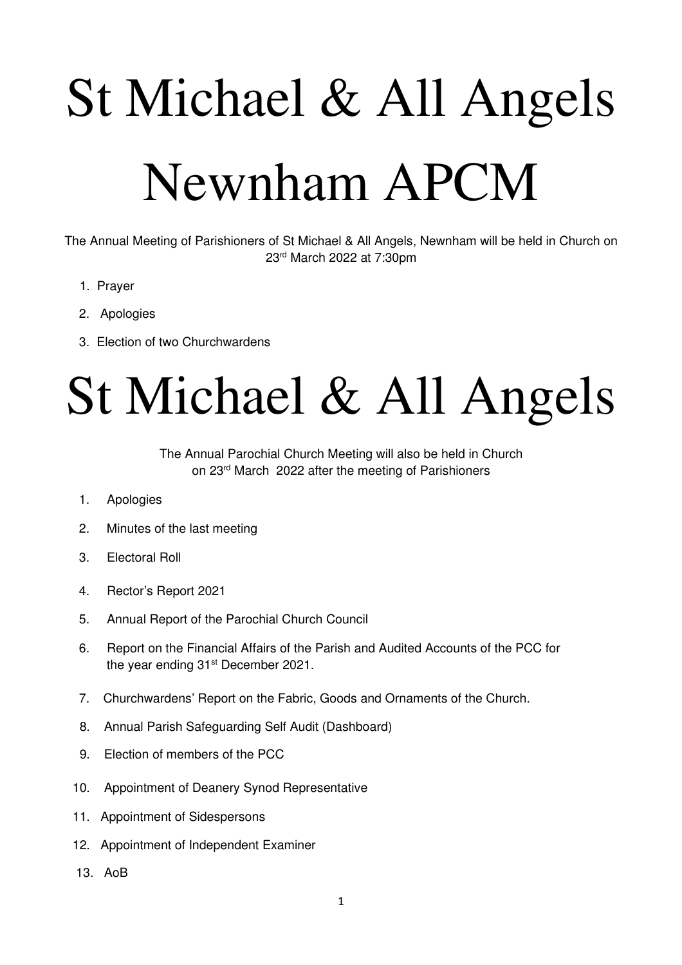# St Michael & All Angels Newnham APCM

The Annual Meeting of Parishioners of St Michael & All Angels, Newnham will be held in Church on 23rd March 2022 at 7:30pm

- 1. Prayer
- 2. Apologies
- 3. Election of two Churchwardens

## St Michael & All Angels

The Annual Parochial Church Meeting will also be held in Church on 23rd March 2022 after the meeting of Parishioners

- 1. Apologies
- 2. Minutes of the last meeting
- 3. Electoral Roll
- 4. Rector's Report 2021
- 5. Annual Report of the Parochial Church Council
- 6. Report on the Financial Affairs of the Parish and Audited Accounts of the PCC for the year ending 31<sup>st</sup> December 2021.
- 7. Churchwardens' Report on the Fabric, Goods and Ornaments of the Church.
- 8. Annual Parish Safeguarding Self Audit (Dashboard)
- 9. Election of members of the PCC
- 10. Appointment of Deanery Synod Representative
- 11. Appointment of Sidespersons
- 12. Appointment of Independent Examiner
- 13. AoB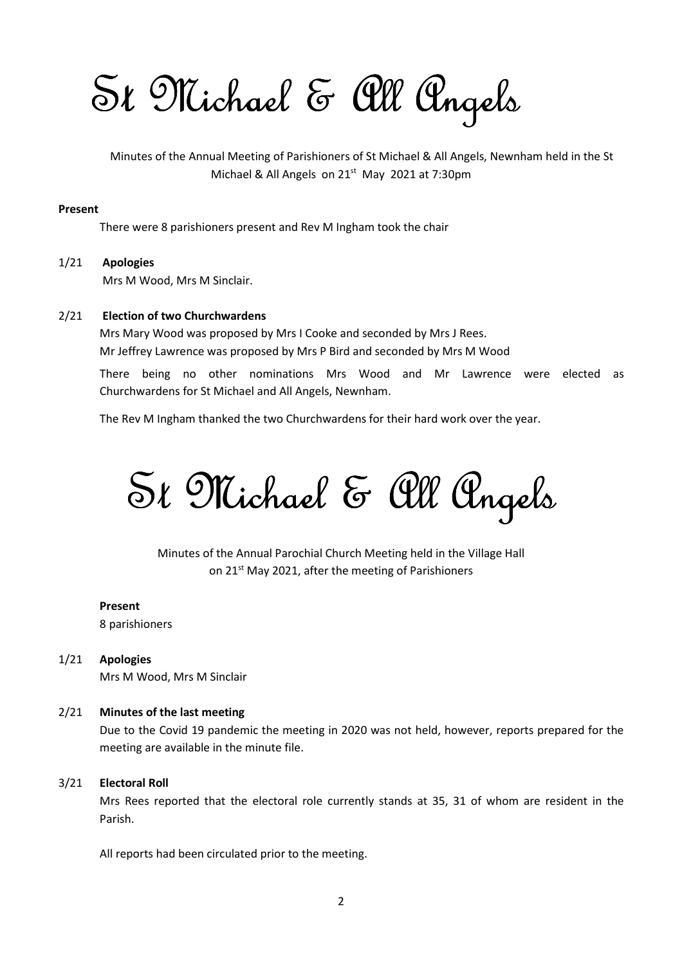$St$  Michael & all Angels

 Minutes of the Annual Meeting of Parishioners of St Michael & All Angels, Newnham held in the St Michael & All Angels on 21<sup>st</sup> May 2021 at 7:30pm

#### Present

There were 8 parishioners present and Rev M Ingham took the chair

#### 1/21 Apologies Mrs M Wood, Mrs M Sinclair.

#### 2/21 Election of two Churchwardens

 Mrs Mary Wood was proposed by Mrs I Cooke and seconded by Mrs J Rees. Mr Jeffrey Lawrence was proposed by Mrs P Bird and seconded by Mrs M Wood

 There being no other nominations Mrs Wood and Mr Lawrence were elected as Churchwardens for St Michael and All Angels, Newnham.

The Rev M Ingham thanked the two Churchwardens for their hard work over the year.

 $St$  Michael & All Angels

Minutes of the Annual Parochial Church Meeting held in the Village Hall on 21<sup>st</sup> May 2021, after the meeting of Parishioners

#### Present

8 parishioners

1/21 Apologies

Mrs M Wood, Mrs M Sinclair

#### 2/21 Minutes of the last meeting

Due to the Covid 19 pandemic the meeting in 2020 was not held, however, reports prepared for the meeting are available in the minute file.

#### 3/21 Electoral Roll

Mrs Rees reported that the electoral role currently stands at 35, 31 of whom are resident in the Parish.

All reports had been circulated prior to the meeting.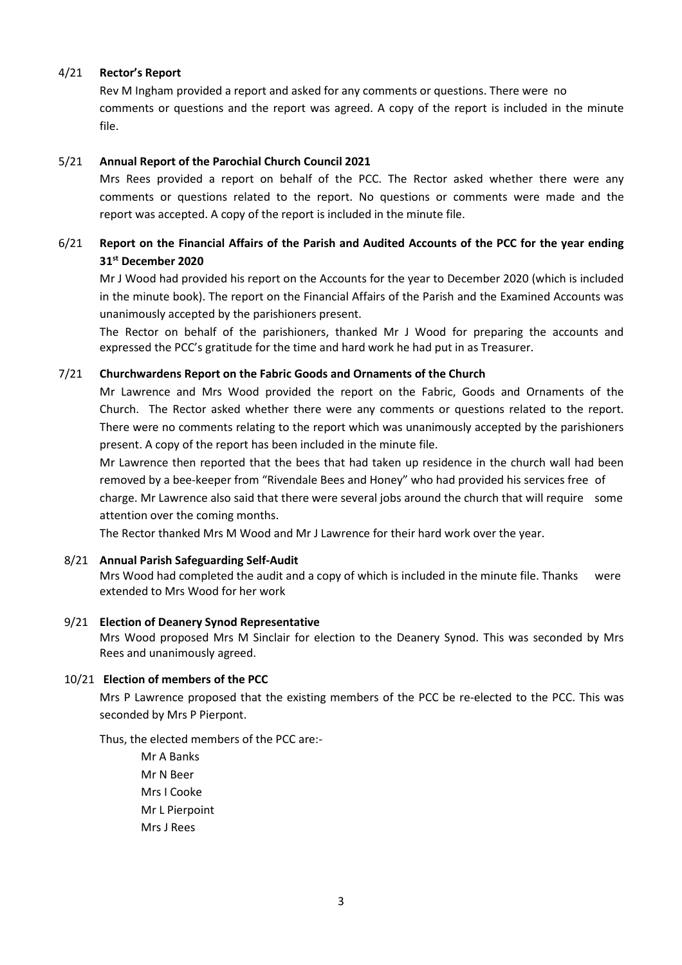#### 4/21 Rector's Report

 Rev M Ingham provided a report and asked for any comments or questions. There were no comments or questions and the report was agreed. A copy of the report is included in the minute file.

#### 5/21 Annual Report of the Parochial Church Council 2021

 Mrs Rees provided a report on behalf of the PCC. The Rector asked whether there were any comments or questions related to the report. No questions or comments were made and the report was accepted. A copy of the report is included in the minute file.

#### 6/21 Report on the Financial Affairs of the Parish and Audited Accounts of the PCC for the year ending 31st December 2020

Mr J Wood had provided his report on the Accounts for the year to December 2020 (which is included in the minute book). The report on the Financial Affairs of the Parish and the Examined Accounts was unanimously accepted by the parishioners present.

 The Rector on behalf of the parishioners, thanked Mr J Wood for preparing the accounts and expressed the PCC's gratitude for the time and hard work he had put in as Treasurer.

#### 7/21 Churchwardens Report on the Fabric Goods and Ornaments of the Church

Mr Lawrence and Mrs Wood provided the report on the Fabric, Goods and Ornaments of the Church. The Rector asked whether there were any comments or questions related to the report. There were no comments relating to the report which was unanimously accepted by the parishioners present. A copy of the report has been included in the minute file.

Mr Lawrence then reported that the bees that had taken up residence in the church wall had been removed by a bee-keeper from "Rivendale Bees and Honey" who had provided his services free of charge. Mr Lawrence also said that there were several jobs around the church that will require some attention over the coming months.

The Rector thanked Mrs M Wood and Mr J Lawrence for their hard work over the year.

#### 8/21 Annual Parish Safeguarding Self-Audit

Mrs Wood had completed the audit and a copy of which is included in the minute file. Thanks were extended to Mrs Wood for her work

#### 9/21 Election of Deanery Synod Representative

 Mrs Wood proposed Mrs M Sinclair for election to the Deanery Synod. This was seconded by Mrs Rees and unanimously agreed.

#### 10/21 Election of members of the PCC

Mrs P Lawrence proposed that the existing members of the PCC be re-elected to the PCC. This was seconded by Mrs P Pierpont.

Thus, the elected members of the PCC are:-

 Mr A Banks Mr N Beer Mrs I Cooke Mr L Pierpoint Mrs J Rees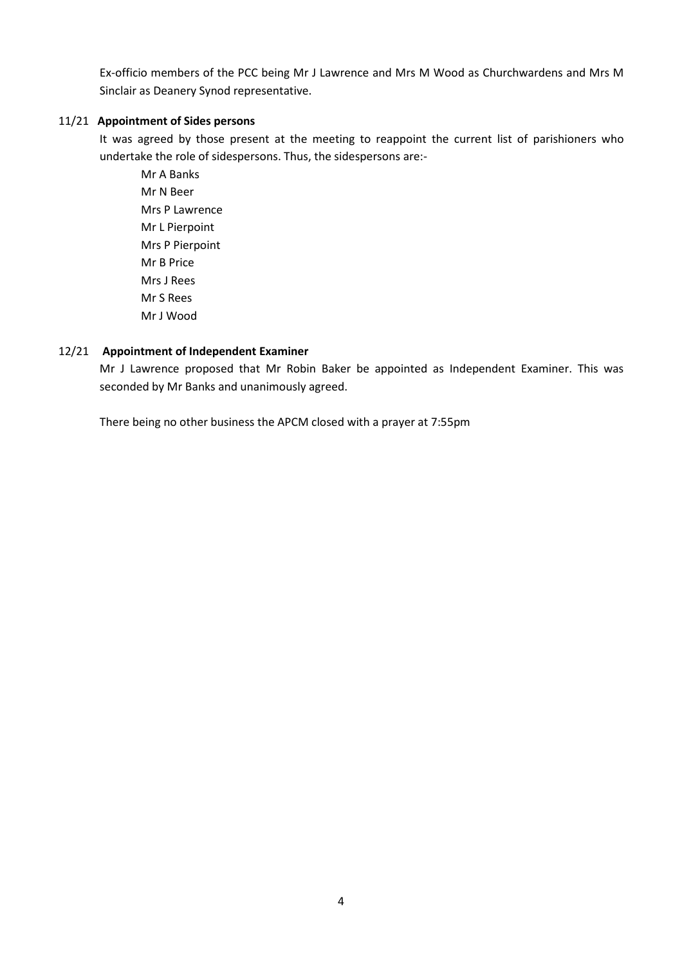Ex-officio members of the PCC being Mr J Lawrence and Mrs M Wood as Churchwardens and Mrs M Sinclair as Deanery Synod representative.

#### 11/21 Appointment of Sides persons

It was agreed by those present at the meeting to reappoint the current list of parishioners who undertake the role of sidespersons. Thus, the sidespersons are:-

 Mr A Banks Mr N Beer Mrs P Lawrence Mr L Pierpoint Mrs P Pierpoint Mr B Price Mrs J Rees Mr S Rees Mr J Wood

#### 12/21 Appointment of Independent Examiner

Mr J Lawrence proposed that Mr Robin Baker be appointed as Independent Examiner. This was seconded by Mr Banks and unanimously agreed.

There being no other business the APCM closed with a prayer at 7:55pm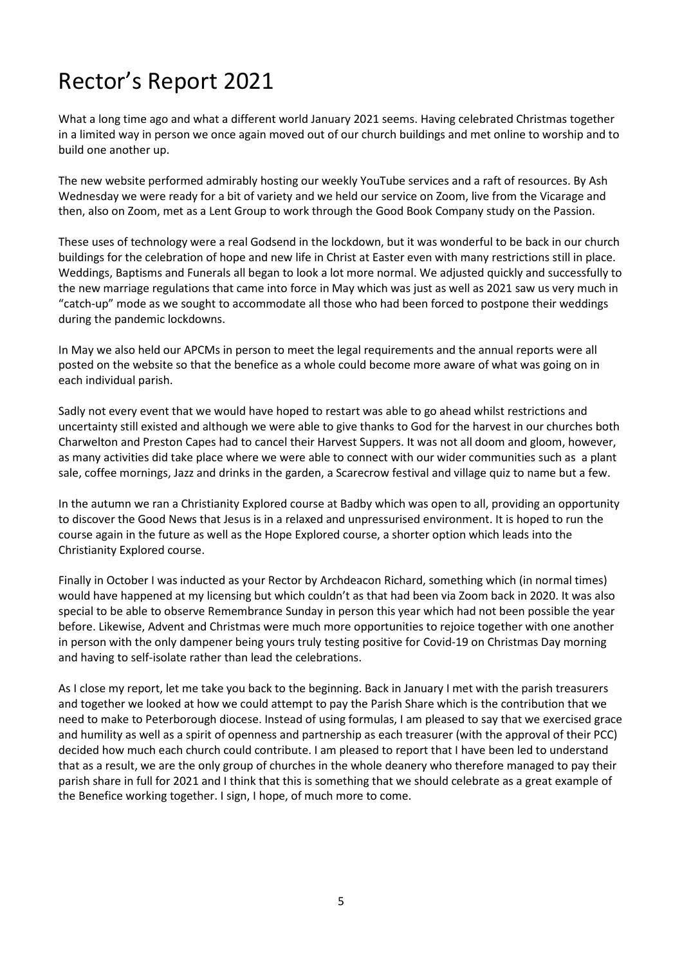### Rector's Report 2021

What a long time ago and what a different world January 2021 seems. Having celebrated Christmas together in a limited way in person we once again moved out of our church buildings and met online to worship and to build one another up.

The new website performed admirably hosting our weekly YouTube services and a raft of resources. By Ash Wednesday we were ready for a bit of variety and we held our service on Zoom, live from the Vicarage and then, also on Zoom, met as a Lent Group to work through the Good Book Company study on the Passion.

These uses of technology were a real Godsend in the lockdown, but it was wonderful to be back in our church buildings for the celebration of hope and new life in Christ at Easter even with many restrictions still in place. Weddings, Baptisms and Funerals all began to look a lot more normal. We adjusted quickly and successfully to the new marriage regulations that came into force in May which was just as well as 2021 saw us very much in "catch-up" mode as we sought to accommodate all those who had been forced to postpone their weddings during the pandemic lockdowns.

In May we also held our APCMs in person to meet the legal requirements and the annual reports were all posted on the website so that the benefice as a whole could become more aware of what was going on in each individual parish.

Sadly not every event that we would have hoped to restart was able to go ahead whilst restrictions and uncertainty still existed and although we were able to give thanks to God for the harvest in our churches both Charwelton and Preston Capes had to cancel their Harvest Suppers. It was not all doom and gloom, however, as many activities did take place where we were able to connect with our wider communities such as a plant sale, coffee mornings, Jazz and drinks in the garden, a Scarecrow festival and village quiz to name but a few.

In the autumn we ran a Christianity Explored course at Badby which was open to all, providing an opportunity to discover the Good News that Jesus is in a relaxed and unpressurised environment. It is hoped to run the course again in the future as well as the Hope Explored course, a shorter option which leads into the Christianity Explored course.

Finally in October I was inducted as your Rector by Archdeacon Richard, something which (in normal times) would have happened at my licensing but which couldn't as that had been via Zoom back in 2020. It was also special to be able to observe Remembrance Sunday in person this year which had not been possible the year before. Likewise, Advent and Christmas were much more opportunities to rejoice together with one another in person with the only dampener being yours truly testing positive for Covid-19 on Christmas Day morning and having to self-isolate rather than lead the celebrations.

As I close my report, let me take you back to the beginning. Back in January I met with the parish treasurers and together we looked at how we could attempt to pay the Parish Share which is the contribution that we need to make to Peterborough diocese. Instead of using formulas, I am pleased to say that we exercised grace and humility as well as a spirit of openness and partnership as each treasurer (with the approval of their PCC) decided how much each church could contribute. I am pleased to report that I have been led to understand that as a result, we are the only group of churches in the whole deanery who therefore managed to pay their parish share in full for 2021 and I think that this is something that we should celebrate as a great example of the Benefice working together. I sign, I hope, of much more to come.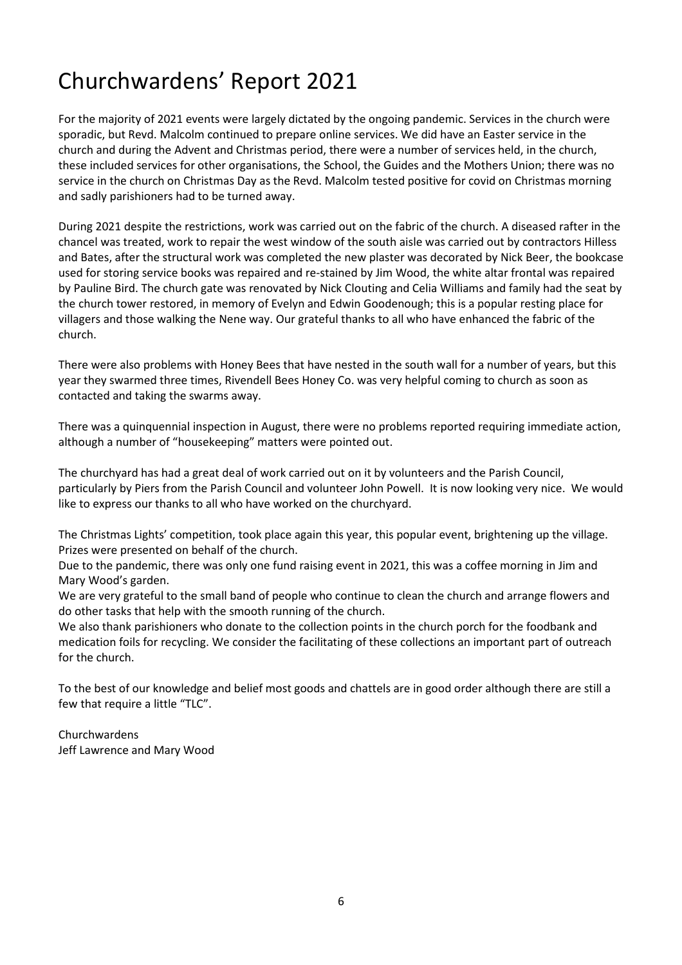## Churchwardens' Report 2021

For the majority of 2021 events were largely dictated by the ongoing pandemic. Services in the church were sporadic, but Revd. Malcolm continued to prepare online services. We did have an Easter service in the church and during the Advent and Christmas period, there were a number of services held, in the church, these included services for other organisations, the School, the Guides and the Mothers Union; there was no service in the church on Christmas Day as the Revd. Malcolm tested positive for covid on Christmas morning and sadly parishioners had to be turned away.

During 2021 despite the restrictions, work was carried out on the fabric of the church. A diseased rafter in the chancel was treated, work to repair the west window of the south aisle was carried out by contractors Hilless and Bates, after the structural work was completed the new plaster was decorated by Nick Beer, the bookcase used for storing service books was repaired and re-stained by Jim Wood, the white altar frontal was repaired by Pauline Bird. The church gate was renovated by Nick Clouting and Celia Williams and family had the seat by the church tower restored, in memory of Evelyn and Edwin Goodenough; this is a popular resting place for villagers and those walking the Nene way. Our grateful thanks to all who have enhanced the fabric of the church.

There were also problems with Honey Bees that have nested in the south wall for a number of years, but this year they swarmed three times, Rivendell Bees Honey Co. was very helpful coming to church as soon as contacted and taking the swarms away.

There was a quinquennial inspection in August, there were no problems reported requiring immediate action, although a number of "housekeeping" matters were pointed out.

The churchyard has had a great deal of work carried out on it by volunteers and the Parish Council, particularly by Piers from the Parish Council and volunteer John Powell. It is now looking very nice. We would like to express our thanks to all who have worked on the churchyard.

The Christmas Lights' competition, took place again this year, this popular event, brightening up the village. Prizes were presented on behalf of the church.

Due to the pandemic, there was only one fund raising event in 2021, this was a coffee morning in Jim and Mary Wood's garden.

We are very grateful to the small band of people who continue to clean the church and arrange flowers and do other tasks that help with the smooth running of the church.

We also thank parishioners who donate to the collection points in the church porch for the foodbank and medication foils for recycling. We consider the facilitating of these collections an important part of outreach for the church.

To the best of our knowledge and belief most goods and chattels are in good order although there are still a few that require a little "TLC".

Churchwardens Jeff Lawrence and Mary Wood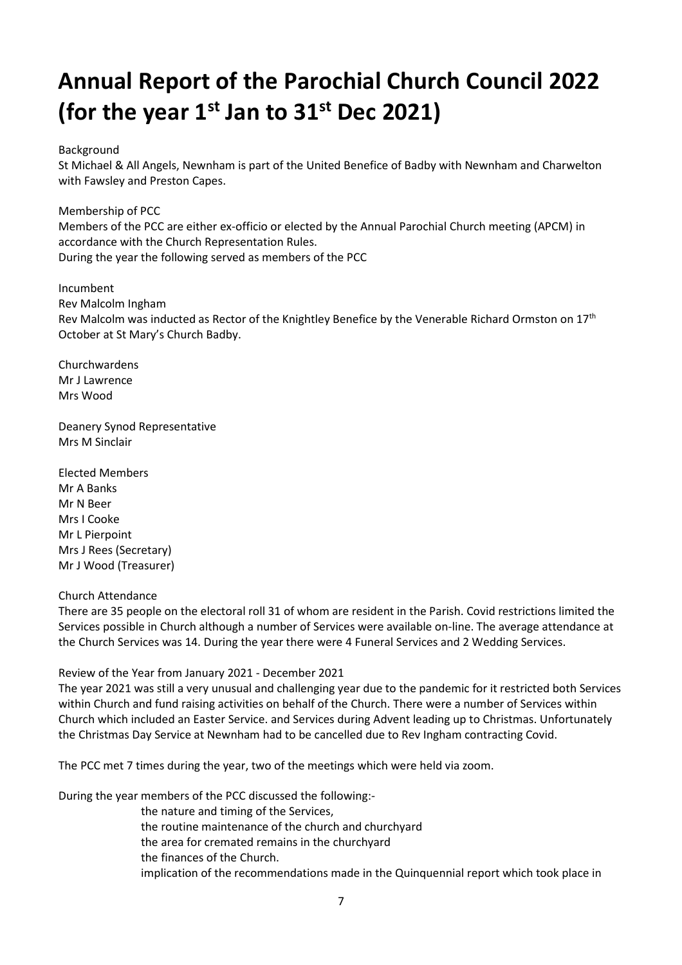## Annual Report of the Parochial Church Council 2022 (for the year  $1^{st}$  Jan to  $31^{st}$  Dec 2021)

#### Background

St Michael & All Angels, Newnham is part of the United Benefice of Badby with Newnham and Charwelton with Fawsley and Preston Capes.

Membership of PCC Members of the PCC are either ex-officio or elected by the Annual Parochial Church meeting (APCM) in accordance with the Church Representation Rules. During the year the following served as members of the PCC

Incumbent Rev Malcolm Ingham Rev Malcolm was inducted as Rector of the Knightley Benefice by the Venerable Richard Ormston on 17<sup>th</sup> October at St Mary's Church Badby.

Churchwardens Mr J Lawrence Mrs Wood

Deanery Synod Representative Mrs M Sinclair

Elected Members Mr A Banks Mr N Beer Mrs I Cooke Mr L Pierpoint Mrs J Rees (Secretary) Mr J Wood (Treasurer)

#### Church Attendance

There are 35 people on the electoral roll 31 of whom are resident in the Parish. Covid restrictions limited the Services possible in Church although a number of Services were available on-line. The average attendance at the Church Services was 14. During the year there were 4 Funeral Services and 2 Wedding Services.

Review of the Year from January 2021 - December 2021

The year 2021 was still a very unusual and challenging year due to the pandemic for it restricted both Services within Church and fund raising activities on behalf of the Church. There were a number of Services within Church which included an Easter Service. and Services during Advent leading up to Christmas. Unfortunately the Christmas Day Service at Newnham had to be cancelled due to Rev Ingham contracting Covid.

The PCC met 7 times during the year, two of the meetings which were held via zoom.

During the year members of the PCC discussed the following:-

- the nature and timing of the Services,
- the routine maintenance of the church and churchyard
- the area for cremated remains in the churchyard
- the finances of the Church.

implication of the recommendations made in the Quinquennial report which took place in